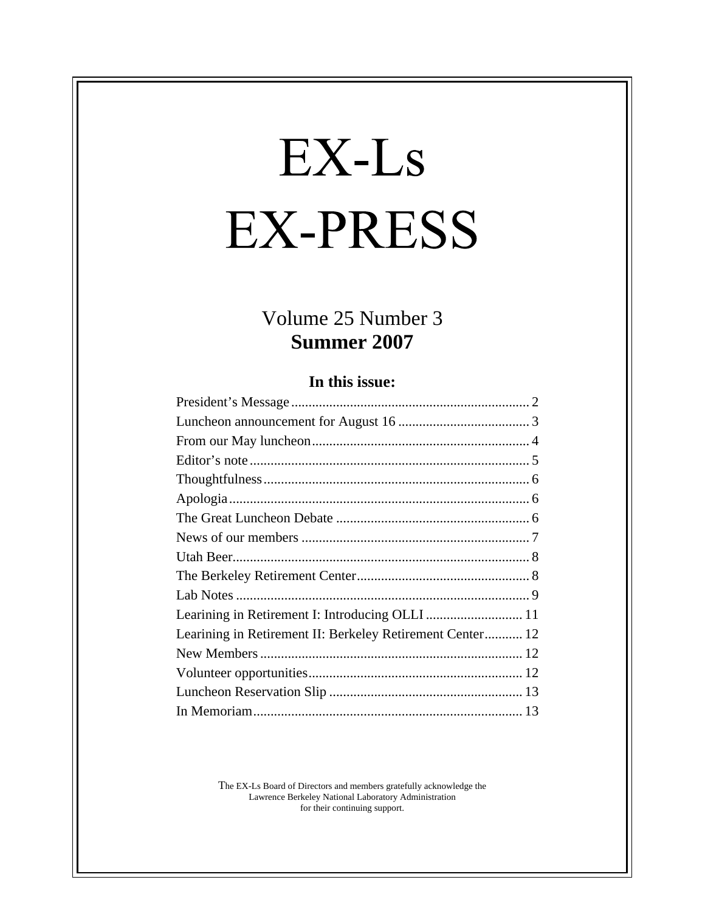# EX-Ls **EX-PRESS**

# Volume 25 Number 3 **Summer 2007**

#### **In this issue:**

| Learining in Retirement I: Introducing OLLI  11           |  |
|-----------------------------------------------------------|--|
| Learining in Retirement II: Berkeley Retirement Center 12 |  |
|                                                           |  |
|                                                           |  |
|                                                           |  |
|                                                           |  |

The EX-Ls Board of Directors and members gratefully acknowledge the Lawrence Berkeley National Laboratory Administration for their continuing support.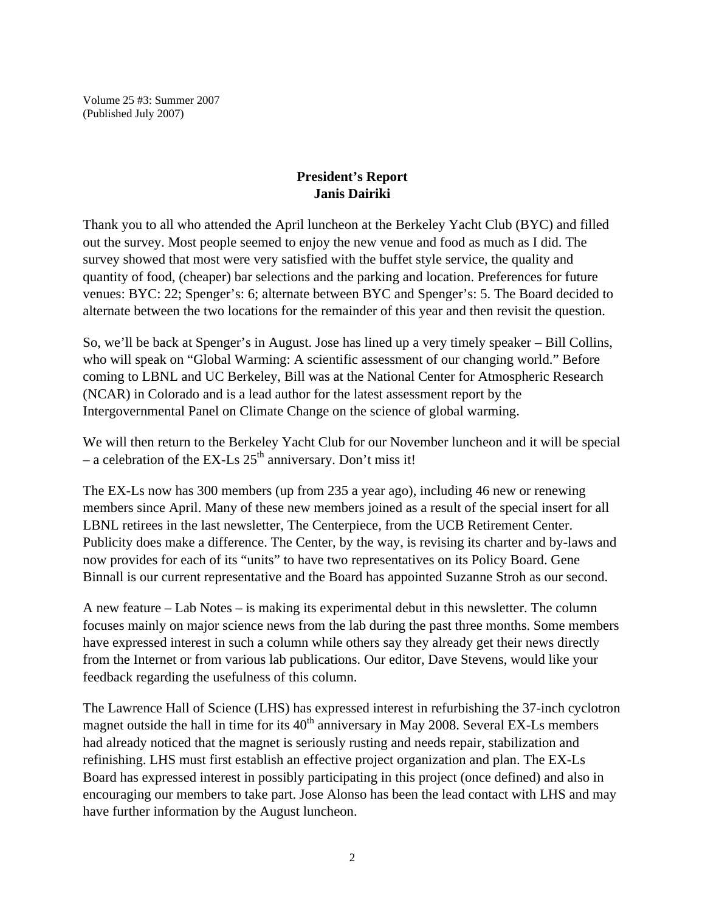Volume 25 #3: Summer 2007 (Published July 2007)

#### **President's Report Janis Dairiki**

Thank you to all who attended the April luncheon at the Berkeley Yacht Club (BYC) and filled out the survey. Most people seemed to enjoy the new venue and food as much as I did. The survey showed that most were very satisfied with the buffet style service, the quality and quantity of food, (cheaper) bar selections and the parking and location. Preferences for future venues: BYC: 22; Spenger's: 6; alternate between BYC and Spenger's: 5. The Board decided to alternate between the two locations for the remainder of this year and then revisit the question.

So, we'll be back at Spenger's in August. Jose has lined up a very timely speaker – Bill Collins, who will speak on "Global Warming: A scientific assessment of our changing world." Before coming to LBNL and UC Berkeley, Bill was at the National Center for Atmospheric Research (NCAR) in Colorado and is a lead author for the latest assessment report by the Intergovernmental Panel on Climate Change on the science of global warming.

We will then return to the Berkeley Yacht Club for our November luncheon and it will be special – a celebration of the EX-Ls  $25<sup>th</sup>$  anniversary. Don't miss it!

The EX-Ls now has 300 members (up from 235 a year ago), including 46 new or renewing members since April. Many of these new members joined as a result of the special insert for all LBNL retirees in the last newsletter, The Centerpiece, from the UCB Retirement Center. Publicity does make a difference. The Center, by the way, is revising its charter and by-laws and now provides for each of its "units" to have two representatives on its Policy Board. Gene Binnall is our current representative and the Board has appointed Suzanne Stroh as our second.

A new feature – Lab Notes – is making its experimental debut in this newsletter. The column focuses mainly on major science news from the lab during the past three months. Some members have expressed interest in such a column while others say they already get their news directly from the Internet or from various lab publications. Our editor, Dave Stevens, would like your feedback regarding the usefulness of this column.

The Lawrence Hall of Science (LHS) has expressed interest in refurbishing the 37-inch cyclotron magnet outside the hall in time for its  $40<sup>th</sup>$  anniversary in May 2008. Several EX-Ls members had already noticed that the magnet is seriously rusting and needs repair, stabilization and refinishing. LHS must first establish an effective project organization and plan. The EX-Ls Board has expressed interest in possibly participating in this project (once defined) and also in encouraging our members to take part. Jose Alonso has been the lead contact with LHS and may have further information by the August luncheon.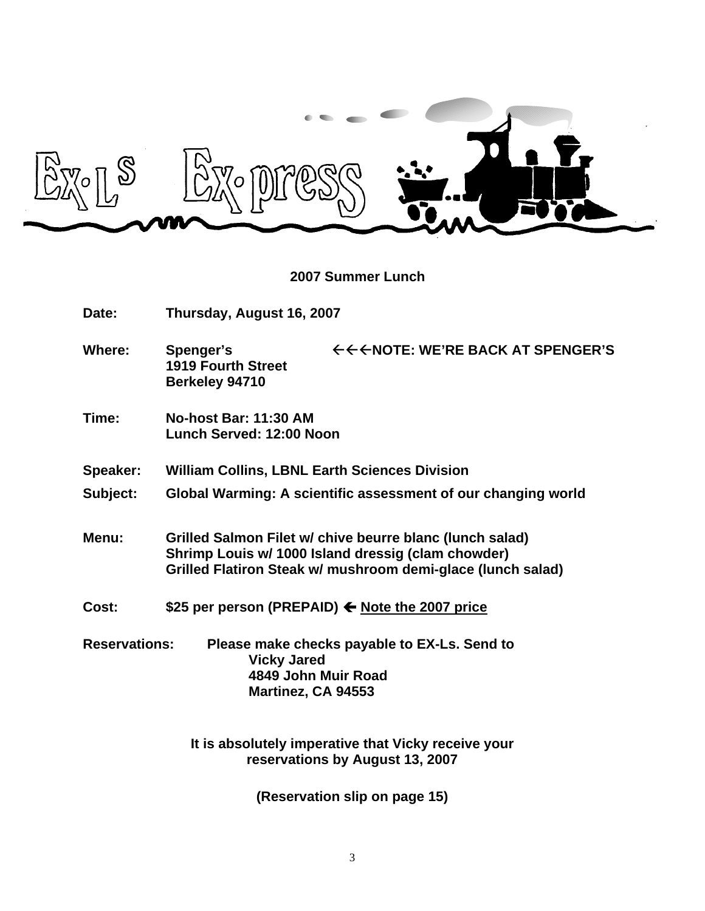

**2007 Summer Lunch**

| Date:                | Thursday, August 16, 2007                                              |                                                                                                                                                                               |
|----------------------|------------------------------------------------------------------------|-------------------------------------------------------------------------------------------------------------------------------------------------------------------------------|
| <b>Where:</b>        | <b>Spenger's</b><br><b>1919 Fourth Street</b><br>Berkeley 94710        | ←←←NOTE: WE'RE BACK AT SPENGER'S                                                                                                                                              |
| Time:                | No-host Bar: 11:30 AM<br>Lunch Served: 12:00 Noon                      |                                                                                                                                                                               |
| Speaker:             | <b>William Collins, LBNL Earth Sciences Division</b>                   |                                                                                                                                                                               |
| Subject:             |                                                                        | Global Warming: A scientific assessment of our changing world                                                                                                                 |
| Menu:                |                                                                        | Grilled Salmon Filet w/ chive beurre blanc (lunch salad)<br>Shrimp Louis w/ 1000 Island dressig (clam chowder)<br>Grilled Flatiron Steak w/ mushroom demi-glace (lunch salad) |
| Cost:                |                                                                        | \$25 per person (PREPAID) ← Note the 2007 price                                                                                                                               |
| <b>Reservations:</b> | <b>Vicky Jared</b><br>4849 John Muir Road<br><b>Martinez, CA 94553</b> | Please make checks payable to EX-Ls. Send to                                                                                                                                  |
|                      |                                                                        | It is absolutely imperative that Vicky receive your                                                                                                                           |

**reservations by August 13, 2007**

**(Reservation slip on page 15)**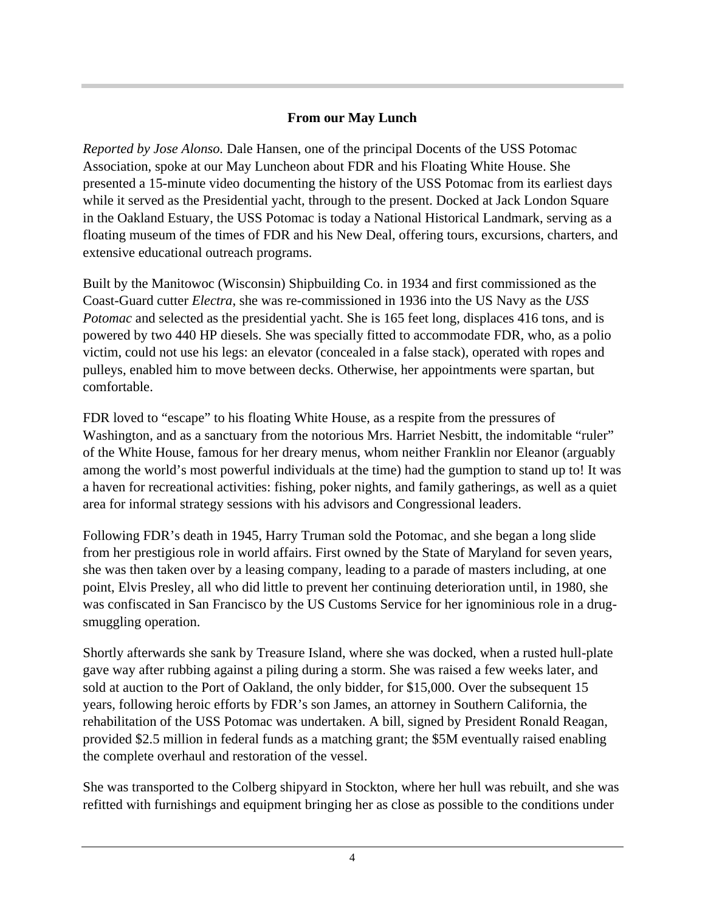#### **From our May Lunch**

*Reported by Jose Alonso.* Dale Hansen, one of the principal Docents of the USS Potomac Association, spoke at our May Luncheon about FDR and his Floating White House. She presented a 15-minute video documenting the history of the USS Potomac from its earliest days while it served as the Presidential yacht, through to the present. Docked at Jack London Square in the Oakland Estuary, the USS Potomac is today a National Historical Landmark, serving as a floating museum of the times of FDR and his New Deal, offering tours, excursions, charters, and extensive educational outreach programs.

Built by the Manitowoc (Wisconsin) Shipbuilding Co. in 1934 and first commissioned as the Coast-Guard cutter *Electra*, she was re-commissioned in 1936 into the US Navy as the *USS Potomac* and selected as the presidential yacht. She is 165 feet long, displaces 416 tons, and is powered by two 440 HP diesels. She was specially fitted to accommodate FDR, who, as a polio victim, could not use his legs: an elevator (concealed in a false stack), operated with ropes and pulleys, enabled him to move between decks. Otherwise, her appointments were spartan, but comfortable.

FDR loved to "escape" to his floating White House, as a respite from the pressures of Washington, and as a sanctuary from the notorious Mrs. Harriet Nesbitt, the indomitable "ruler" of the White House, famous for her dreary menus, whom neither Franklin nor Eleanor (arguably among the world's most powerful individuals at the time) had the gumption to stand up to! It was a haven for recreational activities: fishing, poker nights, and family gatherings, as well as a quiet area for informal strategy sessions with his advisors and Congressional leaders.

Following FDR's death in 1945, Harry Truman sold the Potomac, and she began a long slide from her prestigious role in world affairs. First owned by the State of Maryland for seven years, she was then taken over by a leasing company, leading to a parade of masters including, at one point, Elvis Presley, all who did little to prevent her continuing deterioration until, in 1980, she was confiscated in San Francisco by the US Customs Service for her ignominious role in a drug smuggling operation.

Shortly afterwards she sank by Treasure Island, where she was docked, when a rusted hull-plate gave way after rubbing against a piling during a storm. She was raised a few weeks later, and sold at auction to the Port of Oakland, the only bidder, for \$15,000. Over the subsequent 15 years, following heroic efforts by FDR's son James, an attorney in Southern California, the rehabilitation of the USS Potomac was undertaken. A bill, signed by President Ronald Reagan, provided \$2.5 million in federal funds as a matching grant; the \$5M eventually raised enabling the complete overhaul and restoration of the vessel.

She was transported to the Colberg shipyard in Stockton, where her hull was rebuilt, and she was refitted with furnishings and equipment bringing her as close as possible to the conditions under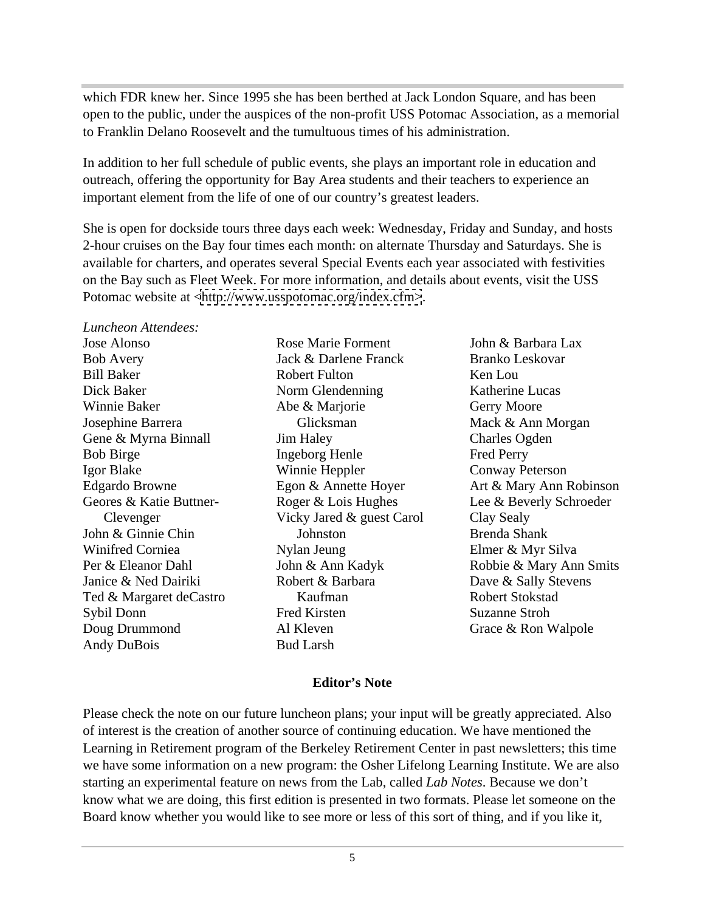which FDR knew her. Since 1995 she has been berthed at Jack London Square, and has been open to the public, under the auspices of the non-profit USS Potomac Association, as a memorial to Franklin Delano Roosevelt and the tumultuous times of his administration.

In addition to her full schedule of public events, she plays an important role in education and outreach, offering the opportunity for Bay Area students and their teachers to experience an important element from the life of one of our country's greatest leaders.

She is open for dockside tours three days each week: Wednesday, Friday and Sunday, and hosts 2-hour cruises on the Bay four times each month: on alternate Thursday and Saturdays. She is available for charters, and operates several Special Events each year associated with festivities on the Bay such as Fleet Week. For more information, and details about events, visit the USS Potomac website at [<http://www.usspotomac.org/index.cfm>](http://www.usspotomac.org/index.cfm>).

*Luncheon Attendees:*  Andy DuBois

Jose Alonso **Interview Rose Marie Forment** John & Barbara Lax Dick Baker Norm Glendenning Katherine Lucas Gene & Myrna Binnall **Solution** Jim Haley **Solution** Charles Ogden Doug Drummond **Al Kleven** Al Cheven **Crace & Ron Walpole** Rose Marie Forment John & Barbara Lax Abe & Marjorie Johnston Al Kleven **Constanting Grace & Ron Walpole** Bud Larsh

Bob Avery Sack & Darlene Franck Branko Leskovar Bill Baker **Britannia** Robert Fulton **Example 8 Ken Lou** Winnie Baker Abe & Marjorie Gerry Moore Josephine Barrera Bob Birge The Bob Birge The Ingeborg Henle The Perry Fred Perry Igor Blake **International Studiers** Winnie Heppler **Contract Convey Peterson** Edgardo Browne Egon & Annette Hoyer Art & Mary Ann Robinson Geores & Katie Buttner-<br>
Roger & Lois Hughes
Lee & Beverly Schroeder Clevenger Vicky Jared & guest Carol John & Ginnie Chin Winifred Corniea **Solution Cornies Assume State Cornies Assume Cornies Assume Cornies Assume Cornies Assume Co** Per & Eleanor Dahl John & Ann Kadyk Robbie & Mary Ann Smits Janice & Ned Dairiki Robert & Barbara Dave & Sally Stevens Ted & Margaret deCastro **Kaufman** Robert Stokstad Sybil Donn **Sybil Donn** Fred Kirsten Suzanne Stroh Jack & Darlene Franck Robert Fulton **Ken** Lou Norm Glendenning Katherine Lucas Glicksman Mack & Ann Morgan **Jim Haley** Charles Ogden Ingeborg Henle Winnie Heppler Conway Peterson Nylan Jeung Kaufman **Robert Stokstad** Fred Kirsten Suzanne Stroh John & Barbara Lax Branko Leskovar Ken Lou Katherine Lucas Gerry Moore Mack & Ann Morgan Charles Ogden Fred Perry Conway Peterson Art & Mary Ann Robinson Clay Sealy Brenda Shank Elmer & Myr Silva Robert Stokstad Suzanne Stroh Grace & Ron Walpole

#### **Editor's Note**

Please check the note on our future luncheon plans; your input will be greatly appreciated. Also of interest is the creation of another source of continuing education. We have mentioned the Learning in Retirement program of the Berkeley Retirement Center in past newsletters; this time we have some information on a new program: the Osher Lifelong Learning Institute. We are also starting an experimental feature on news from the Lab, called *Lab Notes*. Because we don't know what we are doing, this first edition is presented in two formats. Please let someone on the Board know whether you would like to see more or less of this sort of thing, and if you like it,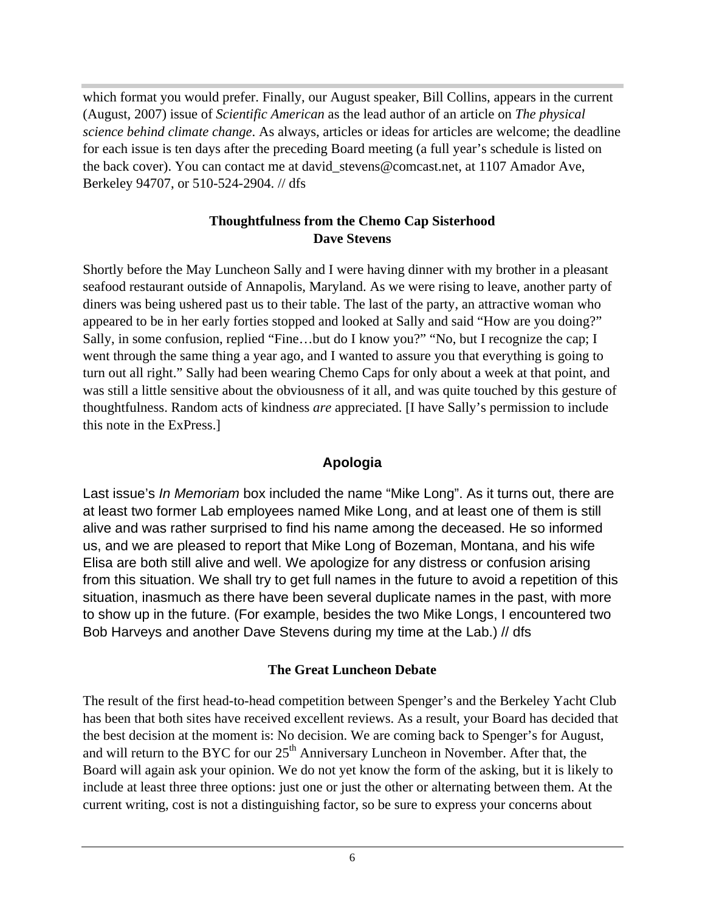which format you would prefer. Finally, our August speaker, Bill Collins, appears in the current (August, 2007) issue of *Scientific American* as the lead author of an article on *The physical science behind climate change*. As always, articles or ideas for articles are welcome; the deadline for each issue is ten days after the preceding Board meeting (a full year's schedule is listed on the back cover). You can contact me at david stevens@comcast.net, at 1107 Amador Ave, Berkeley 94707, or 510-524-2904. // dfs

#### **Thoughtfulness from the Chemo Cap Sisterhood Dave Stevens**

Shortly before the May Luncheon Sally and I were having dinner with my brother in a pleasant seafood restaurant outside of Annapolis, Maryland. As we were rising to leave, another party of diners was being ushered past us to their table. The last of the party, an attractive woman who appeared to be in her early forties stopped and looked at Sally and said "How are you doing?" Sally, in some confusion, replied "Fine…but do I know you?" "No, but I recognize the cap; I went through the same thing a year ago, and I wanted to assure you that everything is going to turn out all right." Sally had been wearing Chemo Caps for only about a week at that point, and was still a little sensitive about the obviousness of it all, and was quite touched by this gesture of thoughtfulness. Random acts of kindness *are* appreciated. [I have Sally's permission to include this note in the ExPress.]

### **Apologia**

Last issue's *In Memoriam* box included the name "Mike Long". As it turns out, there are at least two former Lab employees named Mike Long, and at least one of them is still alive and was rather surprised to find his name among the deceased. He so informed us, and we are pleased to report that Mike Long of Bozeman, Montana, and his wife Elisa are both still alive and well. We apologize for any distress or confusion arising from this situation. We shall try to get full names in the future to avoid a repetition of this situation, inasmuch as there have been several duplicate names in the past, with more to show up in the future. (For example, besides the two Mike Longs, I encountered two Bob Harveys and another Dave Stevens during my time at the Lab.) // dfs

#### **The Great Luncheon Debate**

The result of the first head-to-head competition between Spenger's and the Berkeley Yacht Club has been that both sites have received excellent reviews. As a result, your Board has decided that the best decision at the moment is: No decision. We are coming back to Spenger's for August, and will return to the BYC for our  $25<sup>th</sup>$  Anniversary Luncheon in November. After that, the Board will again ask your opinion. We do not yet know the form of the asking, but it is likely to include at least three three options: just one or just the other or alternating between them. At the current writing, cost is not a distinguishing factor, so be sure to express your concerns about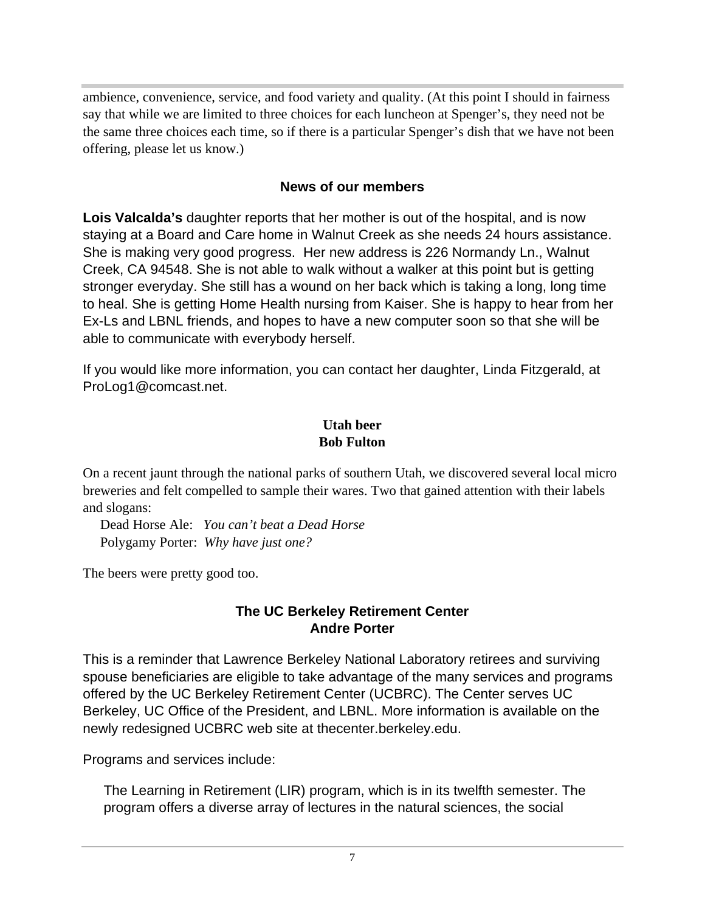ambience, convenience, service, and food variety and quality. (At this point I should in fairness say that while we are limited to three choices for each luncheon at Spenger's, they need not be the same three choices each time, so if there is a particular Spenger's dish that we have not been offering, please let us know.)

#### **News of our members**

**Lois Valcalda's** daughter reports that her mother is out of the hospital, and is now staying at a Board and Care home in Walnut Creek as she needs 24 hours assistance. She is making very good progress. Her new address is 226 Normandy Ln., Walnut Creek, CA 94548. She is not able to walk without a walker at this point but is getting stronger everyday. She still has a wound on her back which is taking a long, long time to heal. She is getting Home Health nursing from Kaiser. She is happy to hear from her Ex-Ls and LBNL friends, and hopes to have a new computer soon so that she will be able to communicate with everybody herself.

If you would like more information, you can contact her daughter, Linda Fitzgerald, at ProLog1@comcast.net.

#### **Utah beer Bob Fulton**

On a recent jaunt through the national parks of southern Utah, we discovered several local micro breweries and felt compelled to sample their wares. Two that gained attention with their labels and slogans:

 Dead Horse Ale: *You can't beat a Dead Horse* Polygamy Porter: *Why have just one?*

The beers were pretty good too.

#### **The UC Berkeley Retirement Center Andre Porter**

This is a reminder that Lawrence Berkeley National Laboratory retirees and surviving spouse beneficiaries are eligible to take advantage of the many services and programs offered by the UC Berkeley Retirement Center (UCBRC). The Center serves UC Berkeley, UC Office of the President, and LBNL. More information is available on the newly redesigned UCBRC web site at thecenter.berkeley.edu. Programs and services include:

The Learning in Retirement (LIR) program, which is in its twelfth semester. The program offers a diverse array of lectures in the natural sciences, the social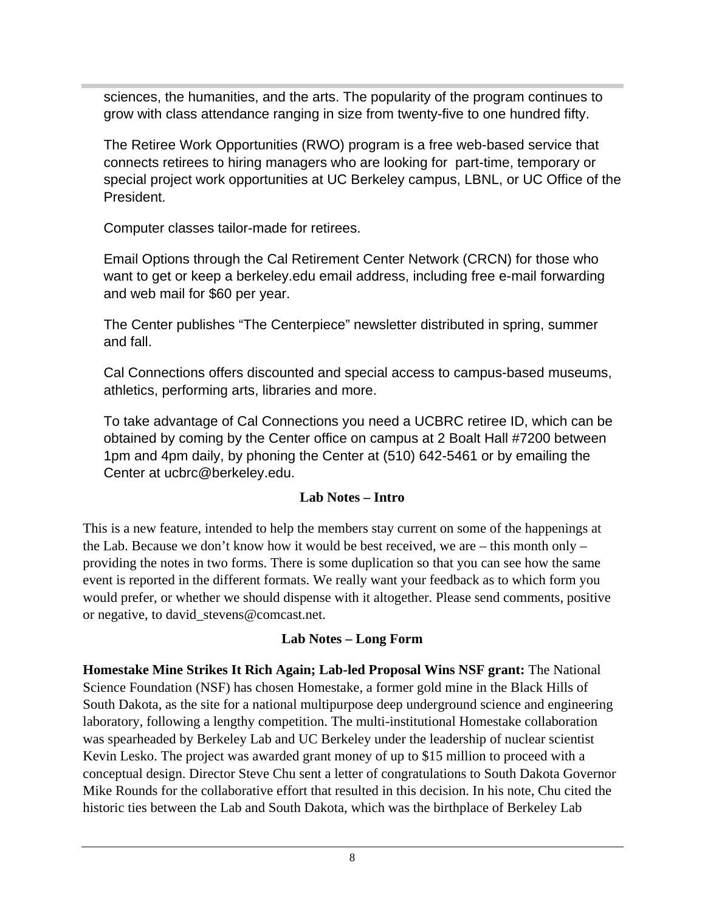sciences, the humanities, and the arts. The popularity of the program continues to grow with class attendance ranging in size from twenty-five to one hundred fifty.

The Retiree Work Opportunities (RWO) program is a free web-based service that connects retirees to hiring managers who are looking for part-time, temporary or special project work opportunities at UC Berkeley campus, LBNL, or UC Office of the President.

Computer classes tailor-made for retirees.

Email Options through the Cal Retirement Center Network (CRCN) for those who want to get or keep a berkeley.edu email address, including free e-mail forwarding and web mail for \$60 per year.

The Center publishes "The Centerpiece" newsletter distributed in spring, summer and fall.

Cal Connections offers discounted and special access to campus-based museums, athletics, performing arts, libraries and more.

To take advantage of Cal Connections you need a UCBRC retiree ID, which can be obtained by coming by the Center office on campus at 2 Boalt Hall #7200 between 1pm and 4pm daily, by phoning the Center at (510) 642-5461 or by emailing the Center at ucbrc@berkeley.edu.

#### **Lab Notes – Intro**

This is a new feature, intended to help the members stay current on some of the happenings at the Lab. Because we don't know how it would be best received, we are  $-$  this month only  $$ providing the notes in two forms. There is some duplication so that you can see how the same event is reported in the different formats. We really want your feedback as to which form you would prefer, or whether we should dispense with it altogether. Please send comments, positive or negative, to david\_stevens@comcast.net.

### **Lab Notes – Long Form**

**Homestake Mine Strikes It Rich Again; Lab-led Proposal Wins NSF grant:** The National Science Foundation (NSF) has chosen Homestake, a former gold mine in the Black Hills of South Dakota, as the site for a national multipurpose deep underground science and engineering laboratory, following a lengthy competition. The multi-institutional Homestake collaboration was spearheaded by Berkeley Lab and UC Berkeley under the leadership of nuclear scientist Kevin Lesko. The project was awarded grant money of up to \$15 million to proceed with a conceptual design. Director Steve Chu sent a letter of congratulations to South Dakota Governor Mike Rounds for the collaborative effort that resulted in this decision. In his note, Chu cited the historic ties between the Lab and South Dakota, which was the birthplace of Berkeley Lab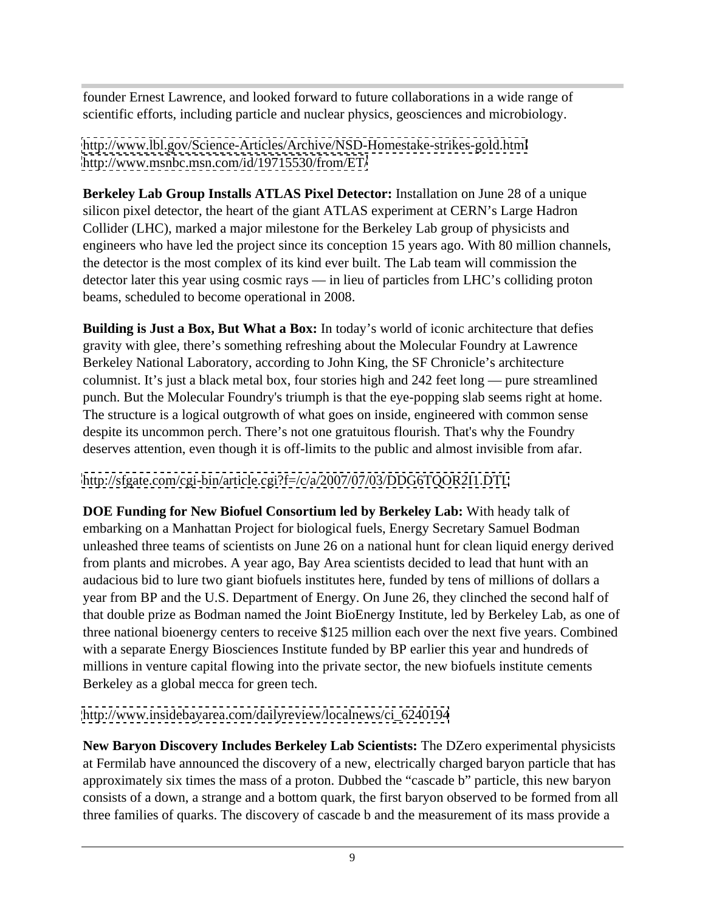founder Ernest Lawrence, and looked forward to future collaborations in a wide range of scientific efforts, including particle and nuclear physics, geosciences and microbiology.

<http://www.lbl.gov/Science-Articles/Archive/NSD-Homestake-strikes-gold.html> <http://www.msnbc.msn.com/id/19715530/from/ET/>

**Berkeley Lab Group Installs ATLAS Pixel Detector:** Installation on June 28 of a unique silicon pixel detector, the heart of the giant ATLAS experiment at CERN's Large Hadron Collider (LHC), marked a major milestone for the Berkeley Lab group of physicists and engineers who have led the project since its conception 15 years ago. With 80 million channels, the detector is the most complex of its kind ever built. The Lab team will commission the detector later this year using cosmic rays — in lieu of particles from LHC's colliding proton beams, scheduled to become operational in 2008.

**Building is Just a Box, But What a Box:** In today's world of iconic architecture that defies gravity with glee, there's something refreshing about the Molecular Foundry at Lawrence Berkeley National Laboratory, according to John King, the SF Chronicle's architecture columnist. It's just a black metal box, four stories high and 242 feet long — pure streamlined punch. But the Molecular Foundry's triumph is that the eye-popping slab seems right at home. The structure is a logical outgrowth of what goes on inside, engineered with common sense despite its uncommon perch. There's not one gratuitous flourish. That's why the Foundry deserves attention, even though it is off-limits to the public and almost invisible from afar.

<http://sfgate.com/cgi-bin/article.cgi?f=/c/a/2007/07/03/DDG6TQOR2I1.DTL>

**DOE Funding for New Biofuel Consortium led by Berkeley Lab:** With heady talk of embarking on a Manhattan Project for biological fuels, Energy Secretary Samuel Bodman unleashed three teams of scientists on June 26 on a national hunt for clean liquid energy derived from plants and microbes. A year ago, Bay Area scientists decided to lead that hunt with an audacious bid to lure two giant biofuels institutes here, funded by tens of millions of dollars a year from BP and the U.S. Department of Energy. On June 26, they clinched the second half of that double prize as Bodman named the Joint BioEnergy Institute, led by Berkeley Lab, as one of three national bioenergy centers to receive \$125 million each over the next five years. Combined with a separate Energy Biosciences Institute funded by BP earlier this year and hundreds of millions in venture capital flowing into the private sector, the new biofuels institute cements Berkeley as a global mecca for green tech.

[http://www.insidebayarea.com/dailyreview/localnews/ci\\_6240194](http://www.insidebayarea.com/dailyreview/localnews/ci_6240194)

**New Baryon Discovery Includes Berkeley Lab Scientists:** The DZero experimental physicists at Fermilab have announced the discovery of a new, electrically charged baryon particle that has approximately six times the mass of a proton. Dubbed the "cascade b" particle, this new baryon consists of a down, a strange and a bottom quark, the first baryon observed to be formed from all three families of quarks. The discovery of cascade b and the measurement of its mass provide a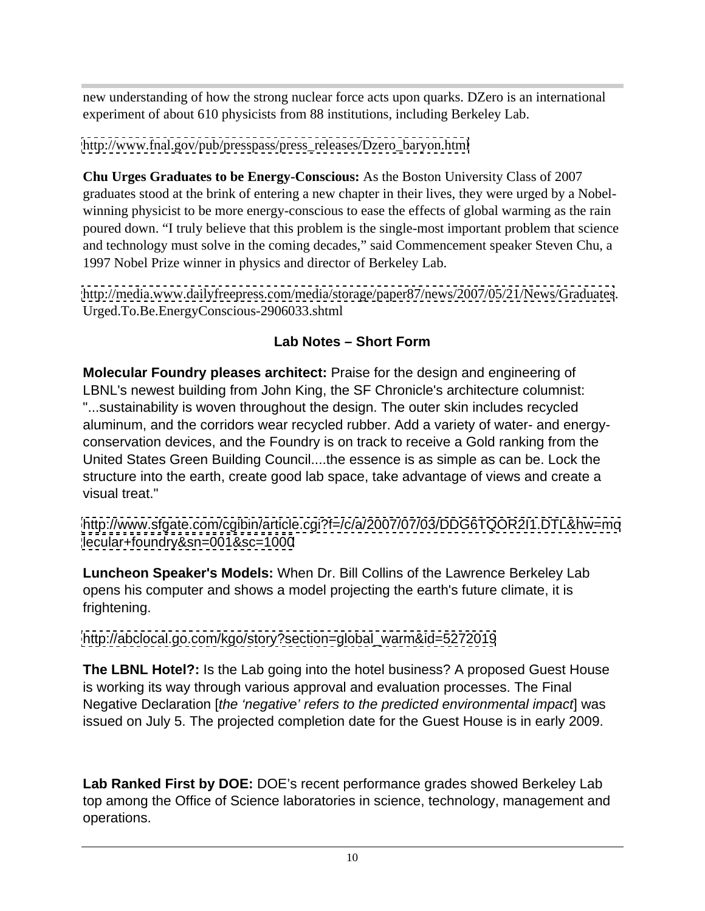new understanding of how the strong nuclear force acts upon quarks. DZero is an international experiment of about 610 physicists from 88 institutions, including Berkeley Lab.

[http://www.fnal.gov/pub/presspass/press\\_releases/Dzero\\_baryon.html](http://www.fnal.gov/pub/presspass/press_releases/Dzero_baryon.html)

**Chu Urges Graduates to be Energy-Conscious:** As the Boston University Class of 2007 graduates stood at the brink of entering a new chapter in their lives, they were urged by a Nobel winning physicist to be more energy-conscious to ease the effects of global warming as the rain poured down. "I truly believe that this problem is the single-most important problem that science and technology must solve in the coming decades," said Commencement speaker Steven Chu, a 1997 Nobel Prize winner in physics and director of Berkeley Lab.

<http://media.www.dailyfreepress.com/media/storage/paper87/news/2007/05/21/News/Graduates>. Urged.To.Be.EnergyConscious-2906033.shtml

# **Lab Notes – Short Form**

**Molecular Foundry pleases architect:** Praise for the design and engineering of LBNL's newest building from John King, the SF Chronicle's architecture columnist: "...sustainability is woven throughout the design. The outer skin includes recycled aluminum, and the corridors wear recycled rubber. Add a variety of water- and energy conservation devices, and the Foundry is on track to receive a Gold ranking from the United States Green Building Council....the essence is as simple as can be. Lock the structure into the earth, create good lab space, take advantage of views and create a visual treat."

<http://www.sfgate.com/cgibin/article.cgi?f=/c/a/2007/07/03/DDG6TQOR2I1.DTL&hw=mo> <lecular+foundry&sn=001&sc=1000>

**Luncheon Speaker's Models:** When Dr. Bill Collins of the Lawrence Berkeley Lab opens his computer and shows a model projecting the earth's future climate, it is frightening.

[http://abclocal.go.com/kgo/story?section=global\\_warm&id=5272019](http://abclocal.go.com/kgo/story?section=global_warm&id=5272019)

**The LBNL Hotel?:** Is the Lab going into the hotel business? A proposed Guest House is working its way through various approval and evaluation processes. The Final Negative Declaration [the 'negative' refers to the predicted environmental impact was issued on July 5. The projected completion date for the Guest House is in early 2009.

**Lab Ranked First by DOE:** DOE's recent performance grades showed Berkeley Lab top among the Office of Science laboratories in science, technology, management and operations.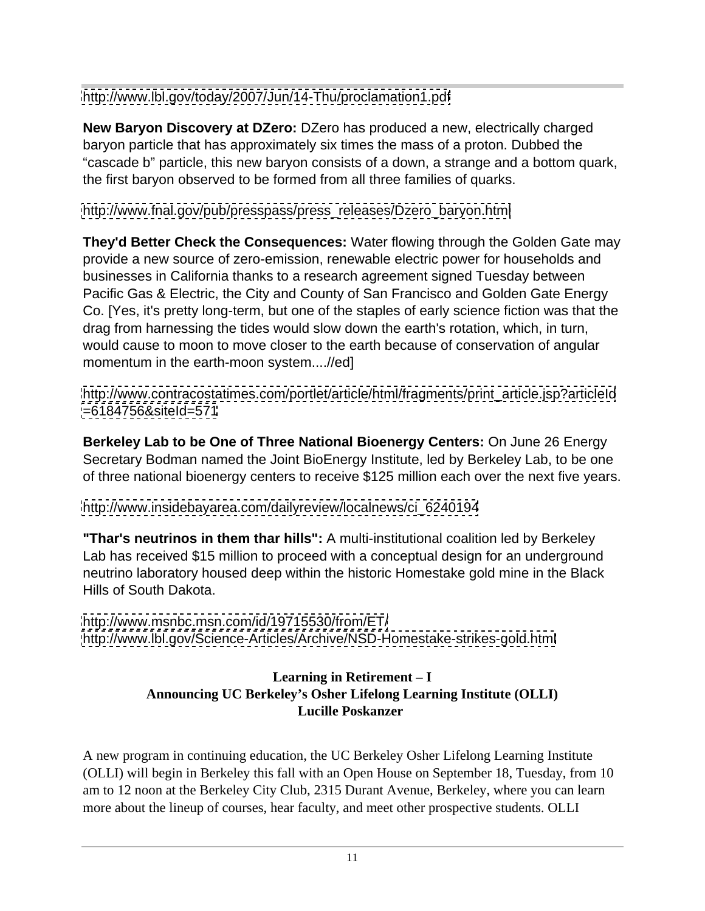<http://www.lbl.gov/today/2007/Jun/14-Thu/proclamation1.pdf>

**New Baryon Discovery at DZero:** DZero has produced a new, electrically charged baryon particle that has approximately six times the mass of a proton. Dubbed the "cascade b" particle, this new baryon consists of a down, a strange and a bottom quark, the first baryon observed to be formed from all three families of quarks.

[http://www.fnal.gov/pub/presspass/press\\_releases/Dzero\\_baryon.html](http://www.fnal.gov/pub/presspass/press_releases/Dzero_baryon.html)

**They'd Better Check the Consequences:** Water flowing through the Golden Gate may provide a new source of zero-emission, renewable electric power for households and businesses in California thanks to a research agreement signed Tuesday between Pacific Gas & Electric, the City and County of San Francisco and Golden Gate Energy Co. [Yes, it's pretty long-term, but one of the staples of early science fiction was that the drag from harnessing the tides would slow down the earth's rotation, which, in turn, would cause to moon to move closer to the earth because of conservation of angular momentum in the earth-moon system....//ed]

[http://www.contracostatimes.com/portlet/article/html/fragments/print\\_article.jsp?articleId](http://www.contracostatimes.com/portlet/article/html/fragments/print_article.jsp?articleId) <=6184756&siteId=571>

**Berkeley Lab to be One of Three National Bioenergy Centers:** On June 26 Energy Secretary Bodman named the Joint BioEnergy Institute, led by Berkeley Lab, to be one of three national bioenergy centers to receive \$125 million each over the next five years.

[http://www.insidebayarea.com/dailyreview/localnews/ci\\_6240194](http://www.insidebayarea.com/dailyreview/localnews/ci_6240194)

**"Thar's neutrinos in them thar hills":** A multi-institutional coalition led by Berkeley Lab has received \$15 million to proceed with a conceptual design for an underground neutrino laboratory housed deep within the historic Homestake gold mine in the Black Hills of South Dakota.

<http://www.msnbc.msn.com/id/19715530/from/ET/> <http://www.lbl.gov/Science-Articles/Archive/NSD-Homestake-strikes-gold.html>

### **Learning in Retirement – I Announcing UC Berkeley's Osher Lifelong Learning Institute (OLLI) Lucille Poskanzer**

A new program in continuing education, the UC Berkeley Osher Lifelong Learning Institute (OLLI) will begin in Berkeley this fall with an Open House on September 18, Tuesday, from 10 am to 12 noon at the Berkeley City Club, 2315 Durant Avenue, Berkeley, where you can learn more about the lineup of courses, hear faculty, and meet other prospective students. OLLI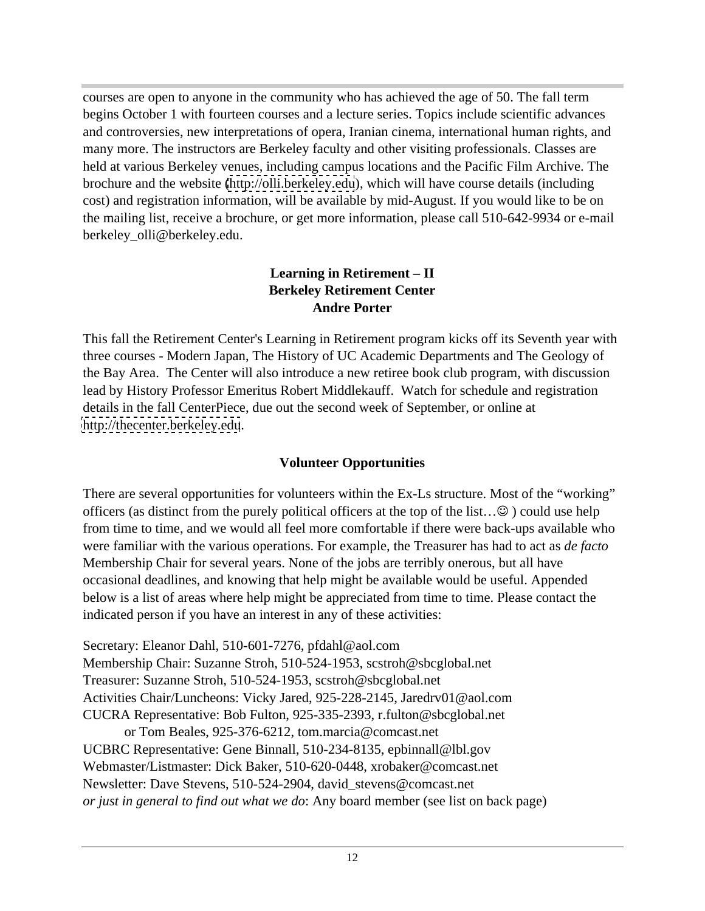courses are open to anyone in the community who has achieved the age of 50. The fall term begins October 1 with fourteen courses and a lecture series. Topics include scientific advances and controversies, new interpretations of opera, Iranian cinema, international human rights, and many more. The instructors are Berkeley faculty and other visiting professionals. Classes are held at various Berkeley venues, including campus locations and the Pacific Film Archive. The brochure and the website [\(http://olli.berkeley.edu](http://olli.berkeley.edu)), which will have course details (including cost) and registration information, will be available by mid-August. If you would like to be on the mailing list, receive a brochure, or get more information, please call 510-642-9934 or e-mail berkeley\_olli@berkeley.edu.

#### **Learning in Retirement – II Berkeley Retirement Center Andre Porter**

This fall the Retirement Center's Learning in Retirement program kicks off its Seventh year with three courses - Modern Japan, The History of UC Academic Departments and The Geology of the Bay Area. The Center will also introduce a new retiree book club program, with discussion lead by History Professor Emeritus Robert Middlekauff. Watch for schedule and registration details in the fall CenterPiece, due out the second week of September, or online at <http://thecenter.berkeley.edu>.

### **Volunteer Opportunities**

There are several opportunities for volunteers within the Ex-Ls structure. Most of the "working" officers (as distinct from the purely political officers at the top of the list... $\odot$ ) could use help from time to time, and we would all feel more comfortable if there were back-ups available who were familiar with the various operations. For example, the Treasurer has had to act as *de facto* Membership Chair for several years. None of the jobs are terribly onerous, but all have occasional deadlines, and knowing that help might be available would be useful. Appended below is a list of areas where help might be appreciated from time to time. Please contact the indicated person if you have an interest in any of these activities:

Secretary: Eleanor Dahl, 510-601-7276, pfdahl@aol.com Membership Chair: Suzanne Stroh, 510-524-1953, scstroh@sbcglobal.net Treasurer: Suzanne Stroh, 510-524-1953, scstroh@sbcglobal.net Activities Chair/Luncheons: Vicky Jared, 925-228-2145, Jaredrv01@aol.com CUCRA Representative: Bob Fulton, 925-335-2393, r.fulton@sbcglobal.net or Tom Beales, 925-376-6212, tom.marcia@comcast.net UCBRC Representative: Gene Binnall, 510-234-8135, epbinnall@lbl.gov Webmaster/Listmaster: Dick Baker, 510-620-0448, xrobaker@comcast.net Newsletter: Dave Stevens, 510-524-2904, david\_stevens@comcast.net *or just in general to find out what we do*: Any board member (see list on back page)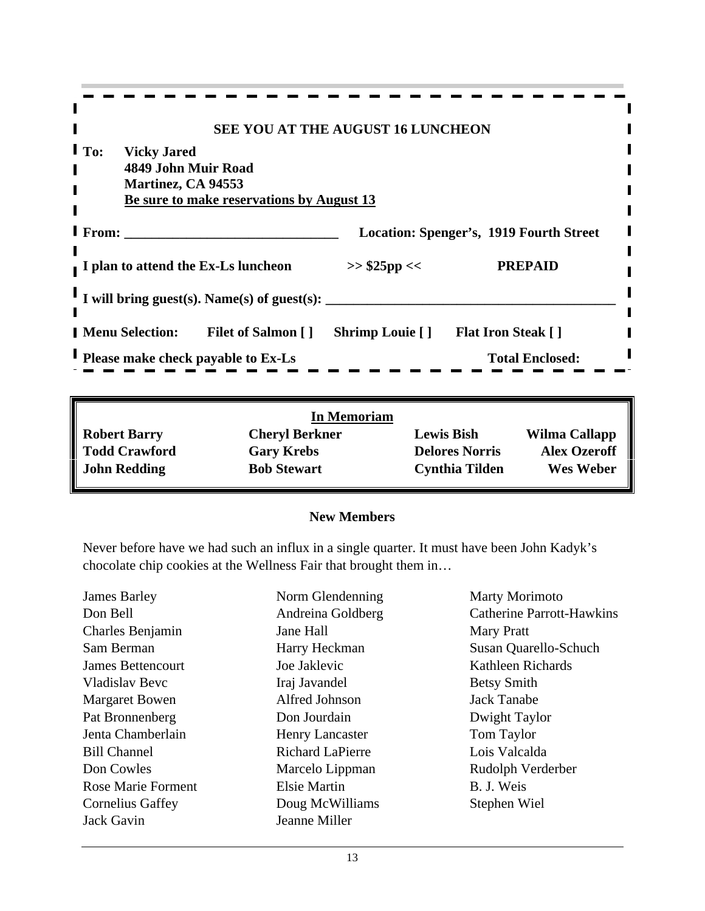|                                                                      | SEE YOU AT THE AUGUST 16 LUNCHEON              |  |
|----------------------------------------------------------------------|------------------------------------------------|--|
| <b>I</b> To: Vicky Jared                                             |                                                |  |
| 4849 John Muir Road                                                  |                                                |  |
| Martinez, CA 94553                                                   |                                                |  |
| Be sure to make reservations by August 13                            |                                                |  |
| I From:                                                              | <b>Location: Spenger's, 1919 Fourth Street</b> |  |
|                                                                      |                                                |  |
| I plan to attend the Ex-Ls luncheon                                  | <b>PREPAID</b><br>>> \$25pp <<                 |  |
|                                                                      |                                                |  |
| I will bring guest(s). Name(s) of guest(s): $\overline{\phantom{a}}$ |                                                |  |
|                                                                      |                                                |  |
| <b>Menu Selection:</b><br>Filet of Salmon [] Shrimp Louie []         | <b>Flat Iron Steak []</b>                      |  |
| Please make check payable to Ex-Ls                                   | <b>Total Enclosed:</b>                         |  |
|                                                                      |                                                |  |

| <b>In Memoriam</b>                                                                   |               |
|--------------------------------------------------------------------------------------|---------------|
| <b>Lewis Bish</b><br><b>Robert Barry</b><br><b>Cheryl Berkner</b>                    | Wilma Callapp |
| <b>Delores Norris</b><br><b>Gary Krebs</b>                                           | Alex Ozeroff  |
| <b>Todd Crawford<br/>John Redding</b><br><b>Cynthia Tilden</b><br><b>Bob Stewart</b> | Wes Weber     |

#### **New Members**

Never before have we had such an influx in a single quarter. It must have been John Kadyk's chocolate chip cookies at the Wellness Fair that brought them in…

| <b>James Barley</b>       | Norm Glendenning        | <b>Marty Morimoto</b>            |
|---------------------------|-------------------------|----------------------------------|
| Don Bell                  | Andreina Goldberg       | <b>Catherine Parrott-Hawkins</b> |
| Charles Benjamin          | Jane Hall               | <b>Mary Pratt</b>                |
| Sam Berman                | Harry Heckman           | Susan Quarello-Schuch            |
| James Bettencourt         | Joe Jaklevic            | Kathleen Richards                |
| Vladislav Bevc            | Iraj Javandel           | <b>Betsy Smith</b>               |
| <b>Margaret Bowen</b>     | Alfred Johnson          | Jack Tanabe                      |
| Pat Bronnenberg           | Don Jourdain            | Dwight Taylor                    |
| Jenta Chamberlain         | <b>Henry Lancaster</b>  | Tom Taylor                       |
| <b>Bill Channel</b>       | <b>Richard LaPierre</b> | Lois Valcalda                    |
| Don Cowles                | Marcelo Lippman         | Rudolph Verderber                |
| <b>Rose Marie Forment</b> | <b>Elsie Martin</b>     | B. J. Weis                       |
| <b>Cornelius Gaffey</b>   | Doug McWilliams         | Stephen Wiel                     |
| Jack Gavin                | Jeanne Miller           |                                  |